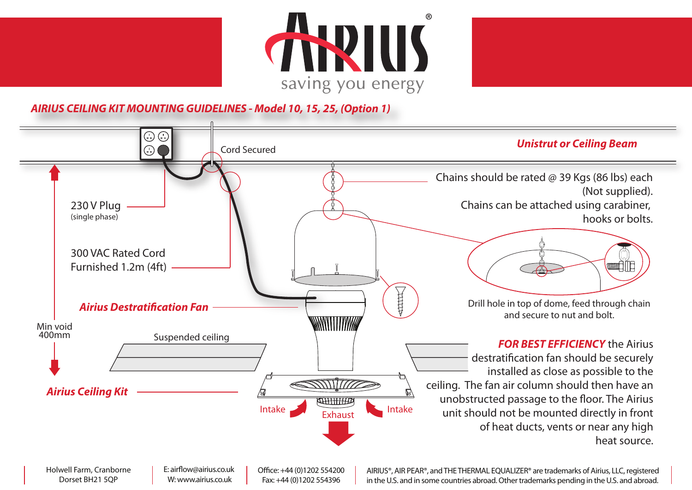



**AIRIUS CEILING KIT MOUNTING GUIDELINES - Model 10, 15, 25, (Option 1)**



Holwell Farm, Cranborne Dorset BH21 5QP

E: airflow@airius.co.uk W: www.airius.co.uk

Office: +44 (0)1202 554200 Fax: +44 (0)1202 554396

AIRIUS®, AIR PEAR®, and THE THERMAL EQUALIZER® are trademarks of Airius, LLC, registered in the U.S. and in some countries abroad. Other trademarks pending in the U.S. and abroad.